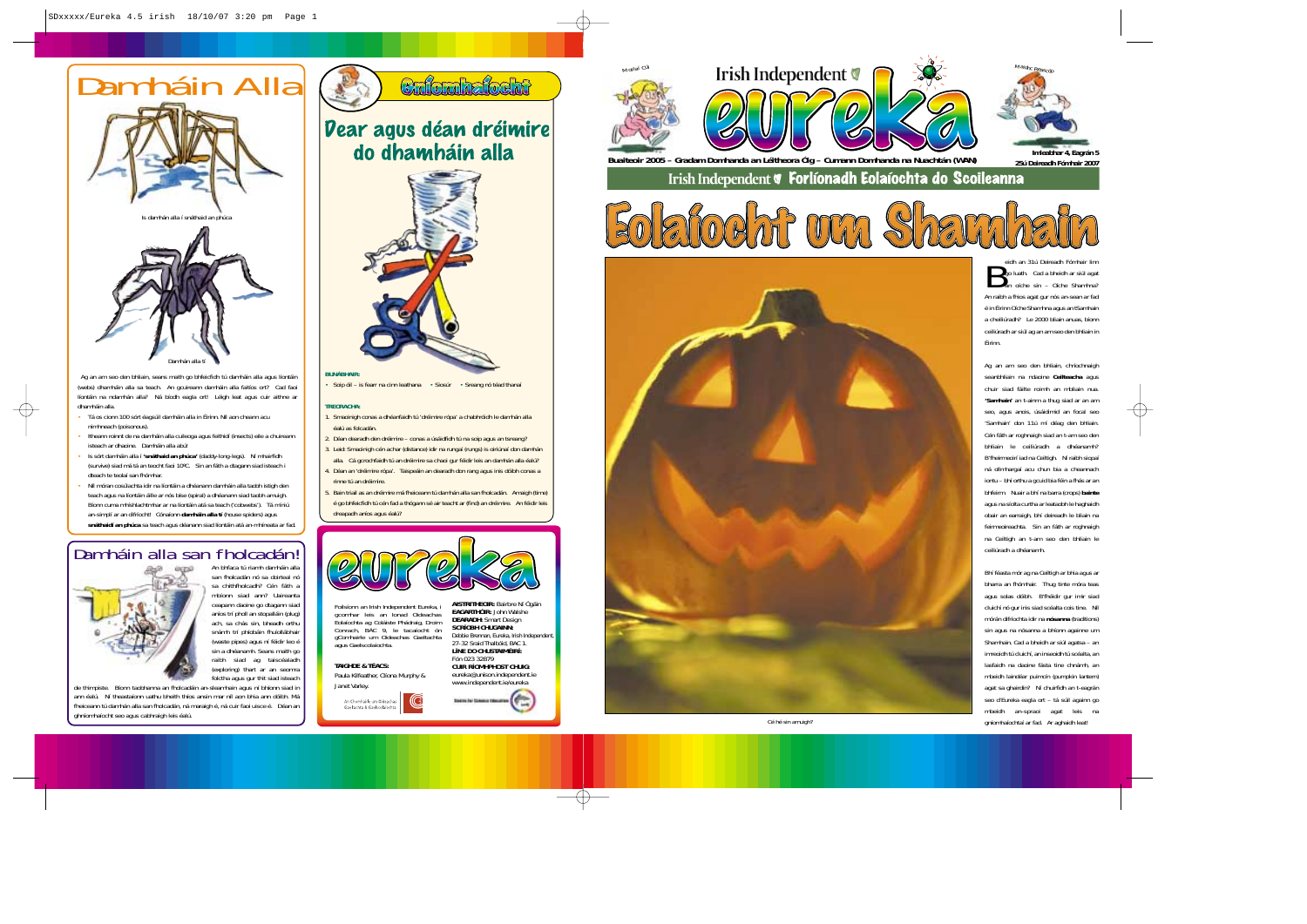eidh an 31ú Deireadh Fómhair linn<br>go luath. Cad a bheidh ar siúl agat<br>an oíche sin – Oíche Shamhna? An raibh a fhios agat gur nós an-sean ar fad é in Éirinn Oíche Shamhna agus an tSamhain a cheiliúradh? Le 2000 bliain anuas, bíonn ceiliúradh ar siúl ag an am seo den bhliain in Éirinn.

Ag an am seo den bhliain, chríochnaigh seanbhliain na ndaoine **Ceilteacha** agus chuir siad fáilte roimh an mbliain nua. **'Samhain'** an t-ainm a thug siad ar an am seo, agus anois, úsáidimid an focal seo 'Samhain' don 11ú mí déag den bhliain. Cén fáth ar roghnaigh siad an t-am seo den bhliain le ceiliúradh a dhéanamh? B'fheirmeoirí iad na Ceiltigh. Ní raibh siopaí ná ollmhargaí acu chun bia a cheannach iontu – bhí orthu a gcuid bia féin a fhás ar an bhfeirm. Nuair a bhí na barra (crops) **bainte** agus na síolta curtha ar leataobh le haghaidh obair an earraigh, bhí deireadh le bliain na feirmeoireachta. Sin an fáth ar roghnaigh na Ceiltigh an t-am seo den bhliain le ceiliúradh a dhéanamh.

l. Smaoinigh conas a dhéanfaidh tú 'dréimire rópa' a chabhróidh le damhán alla. éalú as folcadán.

> Bhí féasta mór ag na Ceiltigh ar bhia agus ar bharra an fhómhair. Thug tinte móra teas agus solas dóibh. B'fhéidir gur imir siad cluichí nó gur inis siad scéalta cois tine. Níl mórán difríochta idir na **nósanna** (traditions) sin agus na nósanna a bhíonn againne um Shamhain. Cad a bheidh ar siúl agatsa – an imreoidh tú cluichí, an inseoidh tú scéalta, an lasfaidh na daoine fásta tine chnámh, an mbeidh laindéar puimcín (pumpkin lantern) agat sa ghairdín? Ní chuirfidh an t-eagrán seo d'Eureka eagla ort – tá súil againn go mbeidh an-spraoi agat leis na *Cé hé sin amuigh?* gníomhaíochtaí ar fad. Ar aghaidh leat!

**BUNÁBHAIR:**

Soip óil – is fearr na cinn leathana • Siosúr • Sreang nó téad thanaí

# **TREORACHA:**

2. Déan dearadh den dréimire – conas a úsáidfidh tú na soip agus an tsreang? 3. Leid: Smaoinigh cén achar (distance) idir na rungaí (rungs) is oiriúnaí don damhán

alla. Cá gcrochfaidh tú an dréimire sa chaoi gur féidir leis an damhán alla éalú? 4. Déan an 'dréimire rópa'. Taispeáin an dearadh don rang agus inis dóibh conas a rinne tú an dréimire.

5. Bain triail as an dréimire má fheiceann tú damhán alla san fholcadán. Amaigh (time) é go bhfeicfidh tú cén fad a thógann sé air teacht ar (find) an dréimire. An féidir leis dreapadh aníos agus éalú?





**Imleabhar 4, Eagrán 5 Buaiteoir 2005 – Gradam Domhanda an Léitheora Óig – Cumann Domhanda na Nuachtán (WAN) 25ú Deireadh Fómhair 2007**Irish Independent **V** Forlíonadh Eolaíochta do Scoileanna







25ú Deireadh Fómhair 2007



Ag an am seo den bhliain, seans maith go bhfeicfidh tú damháin alla agus líontáin (webs) dhamháin alla sa teach. An gcuireann damháin alla faitíos ort? Cad faoi líontáin na ndamhán alla? Ná bíodh eagla ort! Léigh leat agus cuir aithne ar dhamháin alla.

- Tá os cionn 100 sórt éagsúil damháin alla in Éirinn. Níl aon cheann acu nimhneach (poisonous).
- Itheann roinnt de na damháin alla cuileoga agus feithidí (insects) eile a chuireann isteach ar dhaoine. Damháin alla abú!
- Is sórt damháin alla í **'snáthaid an phúca'** (daddy-long-legs). Ní mhairfidh (survive) siad má tá an teocht faoi 10ºC. Sin an fáth a dtagann siad isteach i dteach te teolaí san fhómhar.
- Níl móran cosúlachta idir na líontáin a dhéanann damháin alla taobh istigh den teach agus na líontáin áille ar nós bíse (spiral) a dhéanann siad taobh amuigh. Bíonn cuma mhíshlachtmhar ar na líontáin atá sa teach ('cobwebs'). Tá míniú an-simplí ar an difríocht! Cónaíonn **damháin alla tí** (house spiders) agus **snáthaidí an phúca** sa teach agus déanann siad líontáin atá an-mhíneata ar fad.

An bhfaca tú riamh damháin alla san fholcadán nó sa doirteal nó sa chithfholcadh? Cén fáth a mbíonn siad ann? Uaireantaceapann daoine go dtagann siad aníos trí pholl an stopalláin (plug) ach, sa chás sin, bheadh orthu snámh trí phíobáin fhuíollábhair (waste pipes) agus ní féidir leo é sin a dhéanamh. Seans maith go raibh siad ag taiscéaladh (exploring) thart ar an seomra folctha agus gur thit siad isteach

de thimpiste. Bíonn taobhanna an fholcadáin an-sleamhain agus ní bhíonn siad in ann éalú. Ní theastaíonn uathu bheith thíos ansin mar níl aon bhia ann dóibh. Má fheiceann tú damhán alla san fholcadán, ná maraigh é, ná cuir faoi uisce é. Déan an ghníomhaíocht seo agus cabhraigh leis éalú.



**Vear agus déan dréimire** do dhamháin alla



# Damháin alla san fholcadán!



# **TAIGHDE & TÉACS:** Paula Kilfeather, Clíona Murphy &



**AISTRITHEOIR:** Bairbre Ní Ógáin **EAGARTHÓIR:** John Walshe**DEARADH:** Smart Design **SCRÍOBH CHUGAINN:** Debbie Brennan, Eureka, Irish Independent, 27-32 Sraid Thalbóid, BAC 1. **LÍNE DO CHUSTAIMÉIRÍ:**



eureka@unison.independent.ie

www.independent.ie/eureka



Foilsíonn an Irish Independent Eureka, i gcomhar leis an Ionad Oideachas Eolaíochta ag Coláiste Phádraig, Droim Conrach, BÁC 9, le tacaíocht ón gComhairle um Oideachas Gaeltachta agus Gaelscolaíochta.